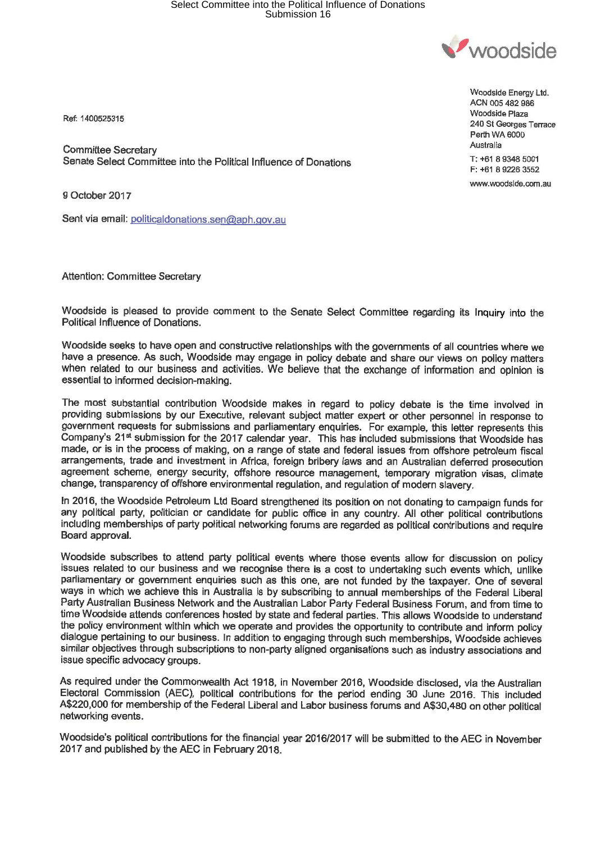## Select Committee into the Political Influence of Donations Submission 16



Ref: 1400525315

Committee Secretary Senate Select Committee into the Political Influence of Donations

9 October 2017

Sent via email: politicaldonations.sen@aph.gov.au

Attention: Committee Secretary

Woodside is pleased to provide comment to the Senate Select Committee regarding its Inquiry into the Political Influence of Donations.

Woodside seeks to have open and constructive relationships with the governments of all countries where we have a presence. As such, Woodside may engage in policy debate and share our **views** on policy matters when related to our business and activities. We believe that the exchange of information and opinion is essential to informed decision-making.

The most substantial contribution Woodside makes in regard to policy debate is the time involved in providing submissions by our Executive, relevant subject matter expert or other personnel in response to government requests for submissions and parliamentary enquiries. For example, this letter represents this Company's 21<sup>st</sup> submission for the 2017 calendar year. This has included submissions that Woodside has made, or is in the process of making, on a range of state and federal issues from offshore petroleum fiscal arrangements, trade and investment in Africa, foreign bribery laws and an Australian deferred prosecution agreement scheme, energy security, offshore resource management, temporary migration visas, climate change, transparency of offshore environmental regulation, and regulation of modern slavery.

In 2016, the Woodside Petroleum Ltd Board strengthened its position on not donating to campaign funds for any political party, politician or candidate for public office in any country. All other political contributions including memberships of party political networking forums are regarded as political contributions and require Board approval.

Woodside subscribes to attend party political events where those events allow for discussion on policy issues related to our business and we recognise there is a cost to undertaking such events which, unlike parliamentary or government enquiries such as this one, are not funded by the taxpayer. One of several ways in which we achieve this in Australia is by subscribing to annual memberships of the Federal Liberal Party Australian Business Network and the Australian Labor Party Federal Business Forum, and from time to time Woodside attends conferences hosted by state and federal parties. This allows Woodside to understand the policy environment within which we operate and provides the opportunity to contribute and inform policy dialogue pertaining to our business. In addition to engaging through such memberships, Woodside achieves similar objectives through subscriptions to non-party aligned organisations such as industry associations and issue specific advocacy groups.

As required under the Commonwealth Act 1918, in November 2016, Woodside disclosed, via the Australian Electoral Commission (AEC), political contributions for the period ending 30 June 2016. This included A\$220,000 for membership of the Federal Liberal and Labor business forums and A\$30,480 on other political networking events.

Woodside's political contributions for the financial year 2016/2017 will be submitted to the AEC in November 2017 and published by the AEC in February 2018.

Woodside Energy Ltd. ACN 005 482 986 Woodside Plaza 240 St Georges Terrace Perth WA 6000 Australia T: +61 8 9348 5001 F: +61 8 9226 3552 www.woodside.com.au